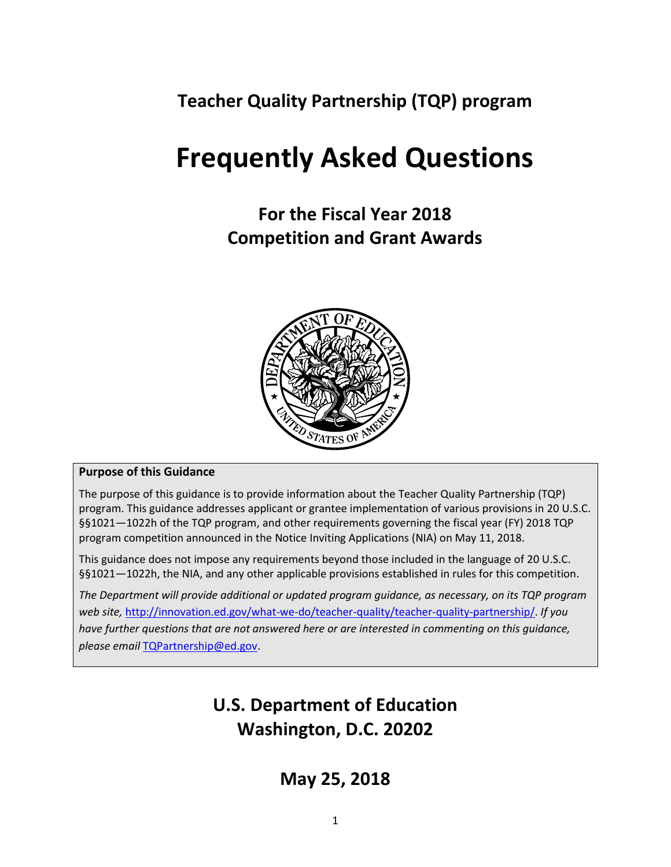**Teacher Quality Partnership (TQP) program**

# **Frequently Asked Questions**

**For the Fiscal Year 2018 Competition and Grant Awards**



#### **Purpose of this Guidance**

The purpose of this guidance is to provide information about the Teacher Quality Partnership (TQP) program. This guidance addresses applicant or grantee implementation of various provisions in 20 U.S.C. §§1021—1022h of the TQP program, and other requirements governing the fiscal year (FY) 2018 TQP program competition announced in the Notice Inviting Applications (NIA) on May 11, 2018.

This guidance does not impose any requirements beyond those included in the language of 20 U.S.C. §§1021—1022h, the NIA, and any other applicable provisions established in rules for this competition.

*The Department will provide additional or updated program guidance, as necessary, on its TQP program web site,* [http://innovation.ed.gov/what-we-do/teacher-quality/teacher-quality-partnership/.](http://innovation.ed.gov/what-we-do/teacher-quality/teacher-quality-partnership/) *If you have further questions that are not answered here or are interested in commenting on this guidance, please email* [TQPartnership@ed.gov.](mailto:TQPartnership@ed.gov)

# **U.S. Department of Education Washington, D.C. 20202**

**May 25, 2018**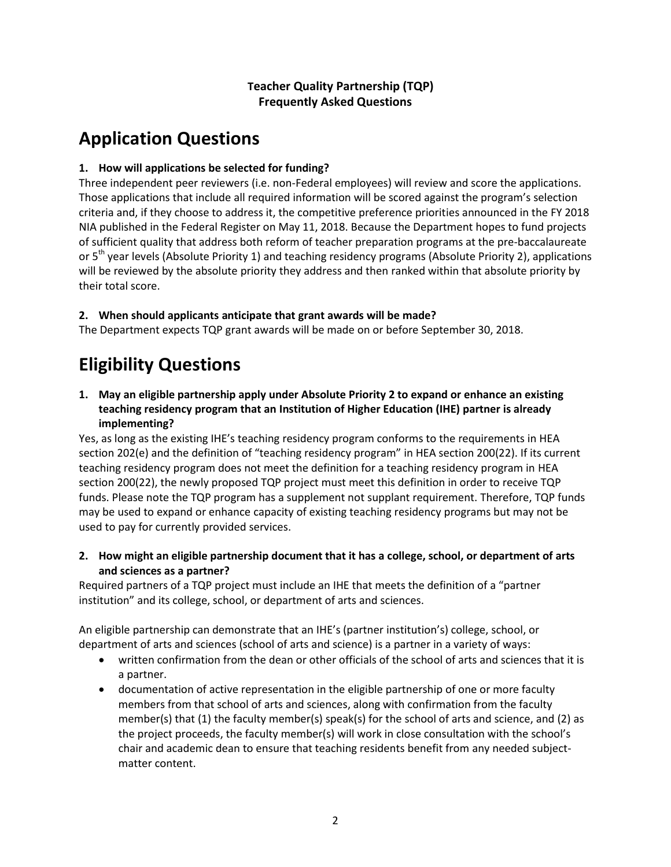#### **Teacher Quality Partnership (TQP) Frequently Asked Questions**

# **Application Questions**

#### **1. How will applications be selected for funding?**

Three independent peer reviewers (i.e. non-Federal employees) will review and score the applications. Those applications that include all required information will be scored against the program's selection criteria and, if they choose to address it, the competitive preference priorities announced in the FY 2018 NIA published in the Federal Register on May 11, 2018. Because the Department hopes to fund projects of sufficient quality that address both reform of teacher preparation programs at the pre-baccalaureate or 5<sup>th</sup> year levels (Absolute Priority 1) and teaching residency programs (Absolute Priority 2), applications will be reviewed by the absolute priority they address and then ranked within that absolute priority by their total score.

#### **2. When should applicants anticipate that grant awards will be made?**

The Department expects TQP grant awards will be made on or before September 30, 2018.

# **Eligibility Questions**

**1. May an eligible partnership apply under Absolute Priority 2 to expand or enhance an existing teaching residency program that an Institution of Higher Education (IHE) partner is already implementing?**

Yes, as long as the existing IHE's teaching residency program conforms to the requirements in HEA section 202(e) and the definition of "teaching residency program" in HEA section 200(22). If its current teaching residency program does not meet the definition for a teaching residency program in HEA section 200(22), the newly proposed TQP project must meet this definition in order to receive TQP funds. Please note the TQP program has a supplement not supplant requirement. Therefore, TQP funds may be used to expand or enhance capacity of existing teaching residency programs but may not be used to pay for currently provided services.

**2. How might an eligible partnership document that it has a college, school, or department of arts and sciences as a partner?**

Required partners of a TQP project must include an IHE that meets the definition of a "partner institution" and its college, school, or department of arts and sciences.

An eligible partnership can demonstrate that an IHE's (partner institution's) college, school, or department of arts and sciences (school of arts and science) is a partner in a variety of ways:

- written confirmation from the dean or other officials of the school of arts and sciences that it is a partner.
- documentation of active representation in the eligible partnership of one or more faculty members from that school of arts and sciences, along with confirmation from the faculty member(s) that (1) the faculty member(s) speak(s) for the school of arts and science, and (2) as the project proceeds, the faculty member(s) will work in close consultation with the school's chair and academic dean to ensure that teaching residents benefit from any needed subjectmatter content.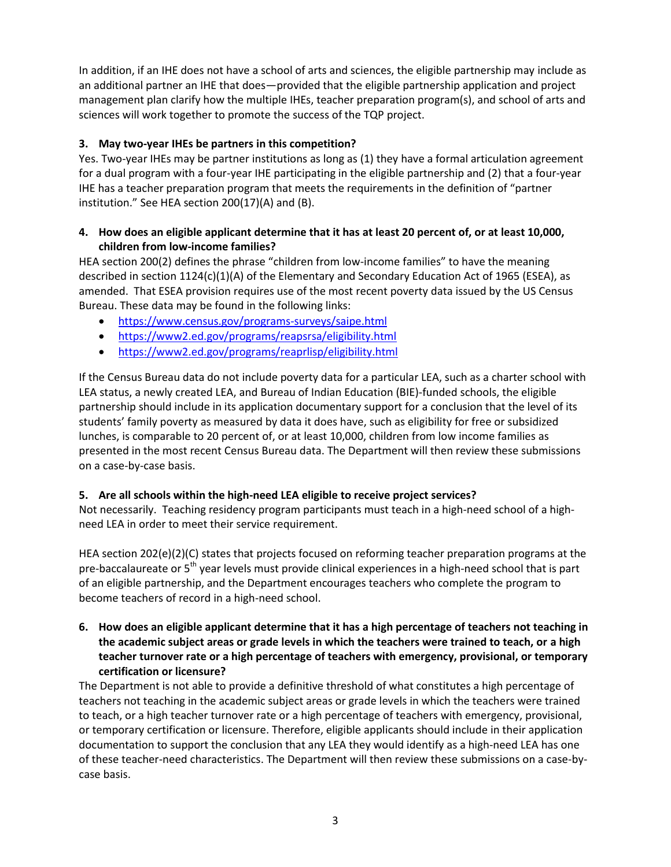In addition, if an IHE does not have a school of arts and sciences, the eligible partnership may include as an additional partner an IHE that does—provided that the eligible partnership application and project management plan clarify how the multiple IHEs, teacher preparation program(s), and school of arts and sciences will work together to promote the success of the TQP project.

#### **3. May two-year IHEs be partners in this competition?**

Yes. Two-year IHEs may be partner institutions as long as (1) they have a formal articulation agreement for a dual program with a four-year IHE participating in the eligible partnership and (2) that a four-year IHE has a teacher preparation program that meets the requirements in the definition of "partner institution." See HEA section 200(17)(A) and (B).

#### **4. How does an eligible applicant determine that it has at least 20 percent of, or at least 10,000, children from low-income families?**

HEA section 200(2) defines the phrase "children from low-income families" to have the meaning described in section 1124(c)(1)(A) of the Elementary and Secondary Education Act of 1965 (ESEA), as amended. That ESEA provision requires use of the most recent poverty data issued by the US Census Bureau. These data may be found in the following links:

- <https://www.census.gov/programs-surveys/saipe.html>
- <https://www2.ed.gov/programs/reapsrsa/eligibility.html>
- <https://www2.ed.gov/programs/reaprlisp/eligibility.html>

If the Census Bureau data do not include poverty data for a particular LEA, such as a charter school with LEA status, a newly created LEA, and Bureau of Indian Education (BIE)-funded schools, the eligible partnership should include in its application documentary support for a conclusion that the level of its students' family poverty as measured by data it does have, such as eligibility for free or subsidized lunches, is comparable to 20 percent of, or at least 10,000, children from low income families as presented in the most recent Census Bureau data. The Department will then review these submissions on a case-by-case basis.

#### **5. Are all schools within the high-need LEA eligible to receive project services?**

Not necessarily. Teaching residency program participants must teach in a high-need school of a highneed LEA in order to meet their service requirement.

HEA section 202(e)(2)(C) states that projects focused on reforming teacher preparation programs at the pre-baccalaureate or 5<sup>th</sup> year levels must provide clinical experiences in a high-need school that is part of an eligible partnership, and the Department encourages teachers who complete the program to become teachers of record in a high-need school.

**6. How does an eligible applicant determine that it has a high percentage of teachers not teaching in the academic subject areas or grade levels in which the teachers were trained to teach, or a high teacher turnover rate or a high percentage of teachers with emergency, provisional, or temporary certification or licensure?**

The Department is not able to provide a definitive threshold of what constitutes a high percentage of teachers not teaching in the academic subject areas or grade levels in which the teachers were trained to teach, or a high teacher turnover rate or a high percentage of teachers with emergency, provisional, or temporary certification or licensure. Therefore, eligible applicants should include in their application documentation to support the conclusion that any LEA they would identify as a high-need LEA has one of these teacher-need characteristics. The Department will then review these submissions on a case-bycase basis.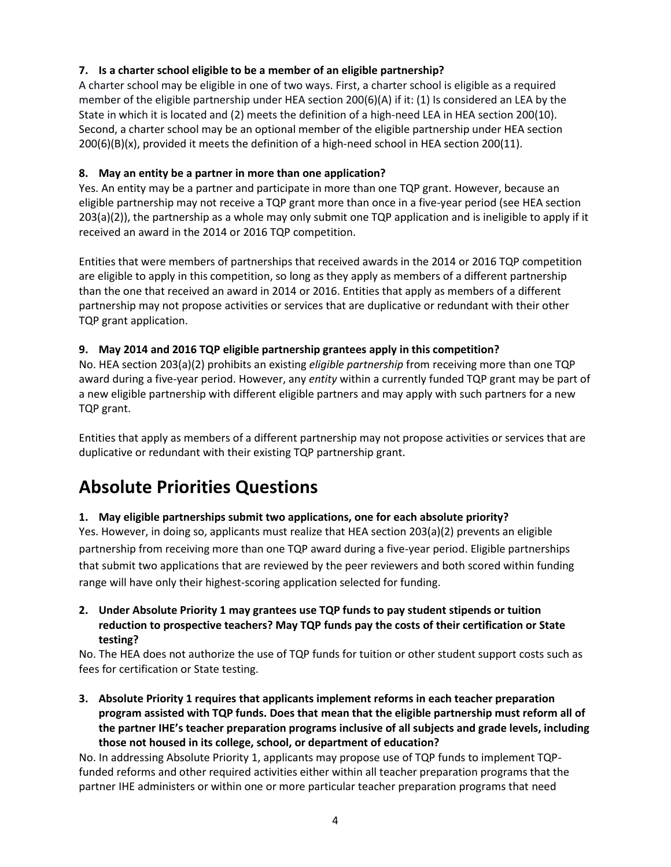#### **7. Is a charter school eligible to be a member of an eligible partnership?**

A charter school may be eligible in one of two ways. First, a charter school is eligible as a required member of the eligible partnership under HEA section 200(6)(A) if it: (1) Is considered an LEA by the State in which it is located and (2) meets the definition of a high-need LEA in HEA section 200(10). Second, a charter school may be an optional member of the eligible partnership under HEA section 200(6)(B)(x), provided it meets the definition of a high-need school in HEA section 200(11).

#### **8. May an entity be a partner in more than one application?**

Yes. An entity may be a partner and participate in more than one TQP grant. However, because an eligible partnership may not receive a TQP grant more than once in a five-year period (see HEA section 203(a)(2)), the partnership as a whole may only submit one TQP application and is ineligible to apply if it received an award in the 2014 or 2016 TQP competition.

Entities that were members of partnerships that received awards in the 2014 or 2016 TQP competition are eligible to apply in this competition, so long as they apply as members of a different partnership than the one that received an award in 2014 or 2016. Entities that apply as members of a different partnership may not propose activities or services that are duplicative or redundant with their other TQP grant application.

#### **9. May 2014 and 2016 TQP eligible partnership grantees apply in this competition?**

No. HEA section 203(a)(2) prohibits an existing *eligible partnership* from receiving more than one TQP award during a five-year period. However, any *entity* within a currently funded TQP grant may be part of a new eligible partnership with different eligible partners and may apply with such partners for a new TQP grant.

Entities that apply as members of a different partnership may not propose activities or services that are duplicative or redundant with their existing TQP partnership grant.

### **Absolute Priorities Questions**

#### **1. May eligible partnerships submit two applications, one for each absolute priority?**

Yes. However, in doing so, applicants must realize that HEA section 203(a)(2) prevents an eligible partnership from receiving more than one TQP award during a five-year period. Eligible partnerships that submit two applications that are reviewed by the peer reviewers and both scored within funding range will have only their highest-scoring application selected for funding.

**2. Under Absolute Priority 1 may grantees use TQP funds to pay student stipends or tuition reduction to prospective teachers? May TQP funds pay the costs of their certification or State testing?**

No. The HEA does not authorize the use of TQP funds for tuition or other student support costs such as fees for certification or State testing.

**3. Absolute Priority 1 requires that applicants implement reforms in each teacher preparation program assisted with TQP funds. Does that mean that the eligible partnership must reform all of the partner IHE's teacher preparation programs inclusive of all subjects and grade levels, including those not housed in its college, school, or department of education?**

No. In addressing Absolute Priority 1, applicants may propose use of TQP funds to implement TQPfunded reforms and other required activities either within all teacher preparation programs that the partner IHE administers or within one or more particular teacher preparation programs that need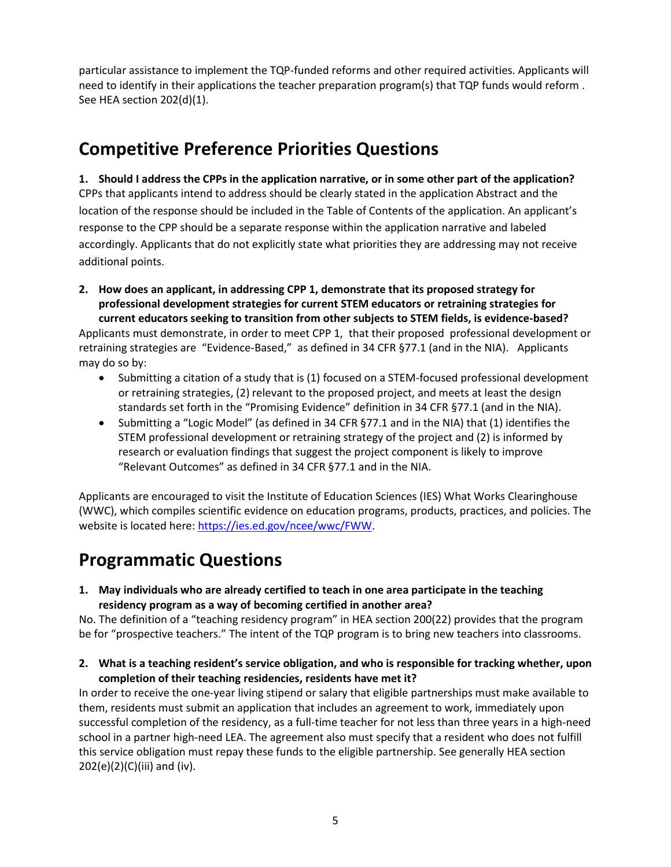particular assistance to implement the TQP-funded reforms and other required activities. Applicants will need to identify in their applications the teacher preparation program(s) that TQP funds would reform . See HEA section 202(d)(1).

### **Competitive Preference Priorities Questions**

**1. Should I address the CPPs in the application narrative, or in some other part of the application?** CPPs that applicants intend to address should be clearly stated in the application Abstract and the location of the response should be included in the Table of Contents of the application. An applicant's response to the CPP should be a separate response within the application narrative and labeled accordingly. Applicants that do not explicitly state what priorities they are addressing may not receive additional points.

- **2. How does an applicant, in addressing CPP 1, demonstrate that its proposed strategy for professional development strategies for current STEM educators or retraining strategies for current educators seeking to transition from other subjects to STEM fields, is evidence-based?** Applicants must demonstrate, in order to meet CPP 1, that their proposed professional development or retraining strategies are "Evidence-Based," as defined in 34 CFR §77.1 (and in the NIA). Applicants may do so by:
	- Submitting a citation of a study that is (1) focused on a STEM-focused professional development or retraining strategies, (2) relevant to the proposed project, and meets at least the design standards set forth in the "Promising Evidence" definition in 34 CFR §77.1 (and in the NIA).
	- Submitting a "Logic Model" (as defined in 34 CFR §77.1 and in the NIA) that (1) identifies the STEM professional development or retraining strategy of the project and (2) is informed by research or evaluation findings that suggest the project component is likely to improve "Relevant Outcomes" as defined in 34 CFR §77.1 and in the NIA.

Applicants are encouraged to visit the Institute of Education Sciences (IES) What Works Clearinghouse (WWC), which compiles scientific evidence on education programs, products, practices, and policies. The website is located here: [https://ies.ed.gov/ncee/wwc/FWW.](https://ies.ed.gov/ncee/wwc/FWW)

# **Programmatic Questions**

**1. May individuals who are already certified to teach in one area participate in the teaching residency program as a way of becoming certified in another area?**

No. The definition of a "teaching residency program" in HEA section 200(22) provides that the program be for "prospective teachers." The intent of the TQP program is to bring new teachers into classrooms.

**2. What is a teaching resident's service obligation, and who is responsible for tracking whether, upon completion of their teaching residencies, residents have met it?**

In order to receive the one-year living stipend or salary that eligible partnerships must make available to them, residents must submit an application that includes an agreement to work, immediately upon successful completion of the residency, as a full-time teacher for not less than three years in a high-need school in a partner high-need LEA. The agreement also must specify that a resident who does not fulfill this service obligation must repay these funds to the eligible partnership. See generally HEA section 202(e)(2)(C)(iii) and (iv).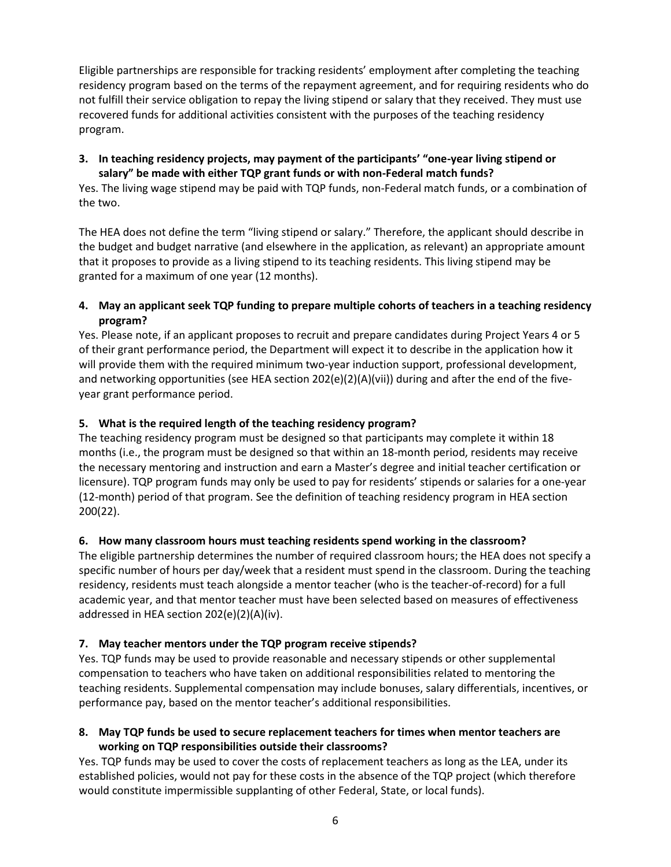Eligible partnerships are responsible for tracking residents' employment after completing the teaching residency program based on the terms of the repayment agreement, and for requiring residents who do not fulfill their service obligation to repay the living stipend or salary that they received. They must use recovered funds for additional activities consistent with the purposes of the teaching residency program.

#### **3. In teaching residency projects, may payment of the participants' "one-year living stipend or salary" be made with either TQP grant funds or with non-Federal match funds?**

Yes. The living wage stipend may be paid with TQP funds, non-Federal match funds, or a combination of the two.

The HEA does not define the term "living stipend or salary." Therefore, the applicant should describe in the budget and budget narrative (and elsewhere in the application, as relevant) an appropriate amount that it proposes to provide as a living stipend to its teaching residents. This living stipend may be granted for a maximum of one year (12 months).

#### **4. May an applicant seek TQP funding to prepare multiple cohorts of teachers in a teaching residency program?**

Yes. Please note, if an applicant proposes to recruit and prepare candidates during Project Years 4 or 5 of their grant performance period, the Department will expect it to describe in the application how it will provide them with the required minimum two-year induction support, professional development, and networking opportunities (see HEA section 202(e)(2)(A)(vii)) during and after the end of the fiveyear grant performance period.

#### **5. What is the required length of the teaching residency program?**

The teaching residency program must be designed so that participants may complete it within 18 months (i.e., the program must be designed so that within an 18-month period, residents may receive the necessary mentoring and instruction and earn a Master's degree and initial teacher certification or licensure). TQP program funds may only be used to pay for residents' stipends or salaries for a one-year (12-month) period of that program. See the definition of teaching residency program in HEA section 200(22).

#### **6. How many classroom hours must teaching residents spend working in the classroom?**

The eligible partnership determines the number of required classroom hours; the HEA does not specify a specific number of hours per day/week that a resident must spend in the classroom. During the teaching residency, residents must teach alongside a mentor teacher (who is the teacher-of-record) for a full academic year, and that mentor teacher must have been selected based on measures of effectiveness addressed in HEA section 202(e)(2)(A)(iv).

#### **7. May teacher mentors under the TQP program receive stipends?**

Yes. TQP funds may be used to provide reasonable and necessary stipends or other supplemental compensation to teachers who have taken on additional responsibilities related to mentoring the teaching residents. Supplemental compensation may include bonuses, salary differentials, incentives, or performance pay, based on the mentor teacher's additional responsibilities.

#### **8. May TQP funds be used to secure replacement teachers for times when mentor teachers are working on TQP responsibilities outside their classrooms?**

Yes. TQP funds may be used to cover the costs of replacement teachers as long as the LEA, under its established policies, would not pay for these costs in the absence of the TQP project (which therefore would constitute impermissible supplanting of other Federal, State, or local funds).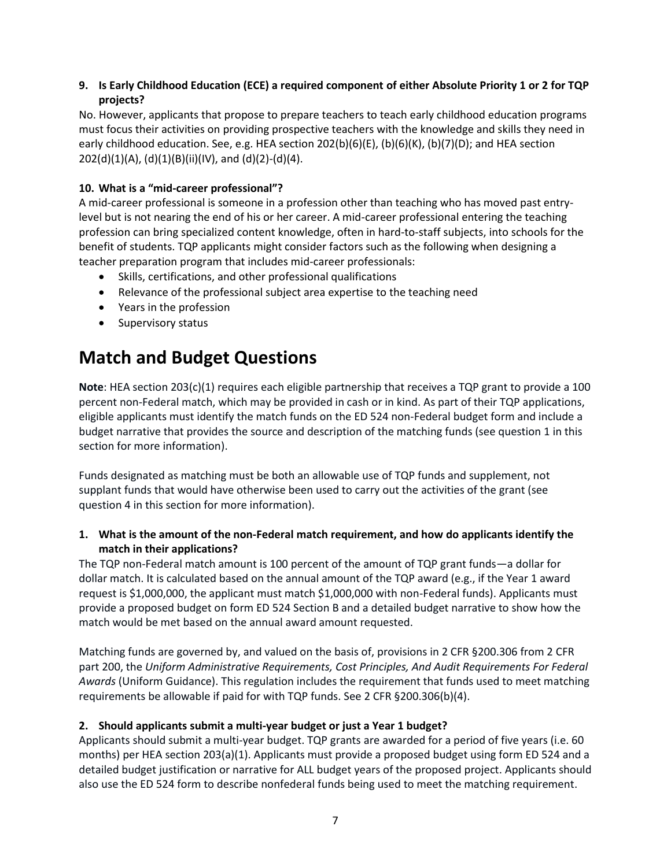#### **9. Is Early Childhood Education (ECE) a required component of either Absolute Priority 1 or 2 for TQP projects?**

No. However, applicants that propose to prepare teachers to teach early childhood education programs must focus their activities on providing prospective teachers with the knowledge and skills they need in early childhood education. See, e.g. HEA section 202(b)(6)(E), (b)(6)(K), (b)(7)(D); and HEA section  $202(d)(1)(A)$ , (d)(1)(B)(ii)(IV), and (d)(2)-(d)(4).

#### **10. What is a "mid-career professional"?**

A mid-career professional is someone in a profession other than teaching who has moved past entrylevel but is not nearing the end of his or her career. A mid-career professional entering the teaching profession can bring specialized content knowledge, often in hard-to-staff subjects, into schools for the benefit of students. TQP applicants might consider factors such as the following when designing a teacher preparation program that includes mid-career professionals:

- Skills, certifications, and other professional qualifications
- Relevance of the professional subject area expertise to the teaching need
- Years in the profession
- Supervisory status

# **Match and Budget Questions**

**Note**: HEA section 203(c)(1) requires each eligible partnership that receives a TQP grant to provide a 100 percent non-Federal match, which may be provided in cash or in kind. As part of their TQP applications, eligible applicants must identify the match funds on the ED 524 non-Federal budget form and include a budget narrative that provides the source and description of the matching funds (see question 1 in this section for more information).

Funds designated as matching must be both an allowable use of TQP funds and supplement, not supplant funds that would have otherwise been used to carry out the activities of the grant (see question 4 in this section for more information).

#### **1. What is the amount of the non-Federal match requirement, and how do applicants identify the match in their applications?**

The TQP non-Federal match amount is 100 percent of the amount of TQP grant funds—a dollar for dollar match. It is calculated based on the annual amount of the TQP award (e.g., if the Year 1 award request is \$1,000,000, the applicant must match \$1,000,000 with non-Federal funds). Applicants must provide a proposed budget on form ED 524 Section B and a detailed budget narrative to show how the match would be met based on the annual award amount requested.

Matching funds are governed by, and valued on the basis of, provisions in 2 CFR §200.306 from 2 CFR part 200, the *Uniform Administrative Requirements, Cost Principles, And Audit Requirements For Federal Awards* (Uniform Guidance). This regulation includes the requirement that funds used to meet matching requirements be allowable if paid for with TQP funds. See 2 CFR §200.306(b)(4).

#### **2. Should applicants submit a multi-year budget or just a Year 1 budget?**

Applicants should submit a multi-year budget. TQP grants are awarded for a period of five years (i.e. 60 months) per HEA section 203(a)(1). Applicants must provide a proposed budget using form ED 524 and a detailed budget justification or narrative for ALL budget years of the proposed project. Applicants should also use the ED 524 form to describe nonfederal funds being used to meet the matching requirement.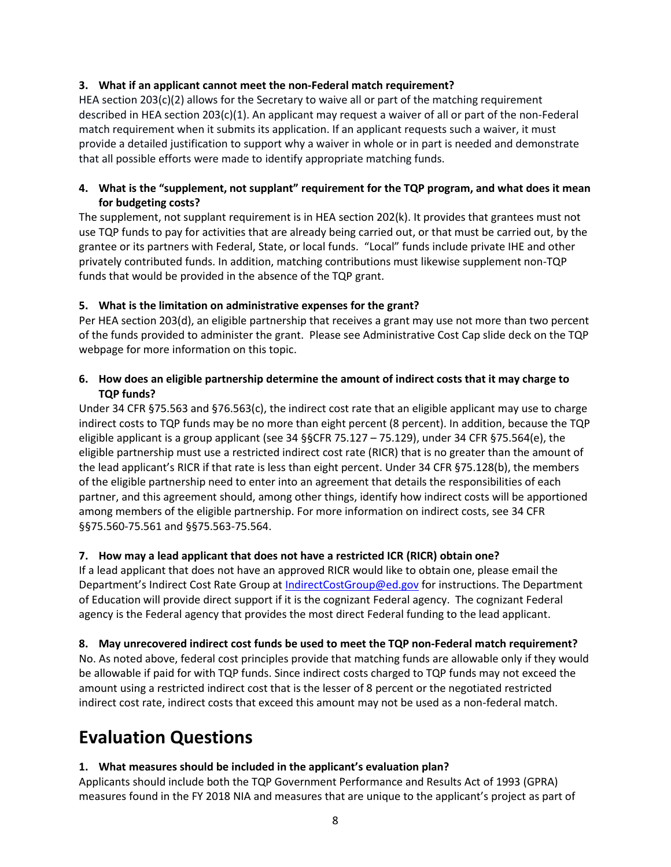#### **3. What if an applicant cannot meet the non-Federal match requirement?**

HEA section  $203(c)(2)$  allows for the Secretary to waive all or part of the matching requirement described in HEA section 203(c)(1). An applicant may request a waiver of all or part of the non-Federal match requirement when it submits its application. If an applicant requests such a waiver, it must provide a detailed justification to support why a waiver in whole or in part is needed and demonstrate that all possible efforts were made to identify appropriate matching funds.

#### **4. What is the "supplement, not supplant" requirement for the TQP program, and what does it mean for budgeting costs?**

The supplement, not supplant requirement is in HEA section 202(k). It provides that grantees must not use TQP funds to pay for activities that are already being carried out, or that must be carried out, by the grantee or its partners with Federal, State, or local funds. "Local" funds include private IHE and other privately contributed funds. In addition, matching contributions must likewise supplement non-TQP funds that would be provided in the absence of the TQP grant.

#### **5. What is the limitation on administrative expenses for the grant?**

Per HEA section 203(d), an eligible partnership that receives a grant may use not more than two percent of the funds provided to administer the grant. Please see Administrative Cost Cap slide deck on the TQP webpage for more information on this topic.

#### **6. How does an eligible partnership determine the amount of indirect costs that it may charge to TQP funds?**

Under 34 CFR §75.563 and §76.563(c), the indirect cost rate that an eligible applicant may use to charge indirect costs to TQP funds may be no more than eight percent (8 percent). In addition, because the TQP eligible applicant is a group applicant (see 34 §§CFR 75.127 – 75.129), under 34 CFR §75.564(e), the eligible partnership must use a restricted indirect cost rate (RICR) that is no greater than the amount of the lead applicant's RICR if that rate is less than eight percent. Under 34 CFR §75.128(b), the members of the eligible partnership need to enter into an agreement that details the responsibilities of each partner, and this agreement should, among other things, identify how indirect costs will be apportioned among members of the eligible partnership. For more information on indirect costs, see 34 CFR §§75.560-75.561 and §§75.563-75.564.

#### **7. How may a lead applicant that does not have a restricted ICR (RICR) obtain one?**

If a lead applicant that does not have an approved RICR would like to obtain one, please email the Department's Indirect Cost Rate Group at [IndirectCostGroup@ed.gov](mailto:IndirectCostGroup@ed.gov) for instructions. The Department of Education will provide direct support if it is the cognizant Federal agency. The cognizant Federal agency is the Federal agency that provides the most direct Federal funding to the lead applicant.

#### **8. May unrecovered indirect cost funds be used to meet the TQP non-Federal match requirement?**

No. As noted above, federal cost principles provide that matching funds are allowable only if they would be allowable if paid for with TQP funds. Since indirect costs charged to TQP funds may not exceed the amount using a restricted indirect cost that is the lesser of 8 percent or the negotiated restricted indirect cost rate, indirect costs that exceed this amount may not be used as a non-federal match.

### **Evaluation Questions**

#### **1. What measures should be included in the applicant's evaluation plan?**

Applicants should include both the TQP Government Performance and Results Act of 1993 (GPRA) measures found in the FY 2018 NIA and measures that are unique to the applicant's project as part of